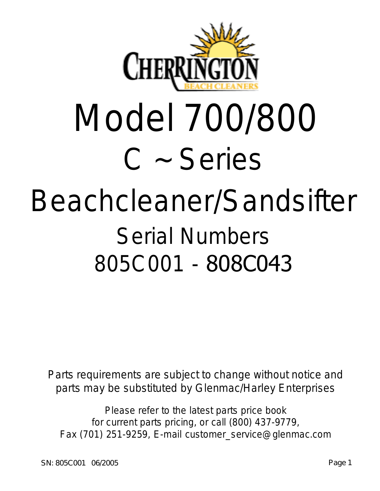

# Model 700/800 C ~ Series

## Beachcleaner/Sandsifter Serial Numbers 805C001 - 808C043

Parts requirements are subject to change without notice and parts may be substituted by Glenmac/Harley Enterprises

Please refer to the latest parts price book for current parts pricing, or call (800) 437-9779, Fax (701) 251-9259, E-mail customer\_service@glenmac.com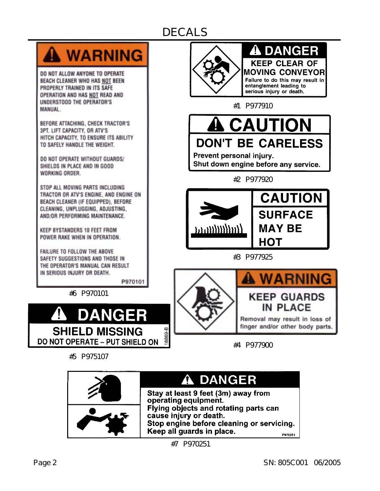## DECALS



DO NOT ALLOW ANYONE TO OPERATE BEACH CLEANER WHO HAS NOT BEEN PROPERLY TRAINED IN ITS SAFE OPERATION AND HAS NOT READ AND UNDERSTOOD THE OPERATOR'S MANUAL.

BEFORE ATTACHING, CHECK TRACTOR'S 3PT. LIFT CAPACITY, OR ATV'S HITCH CAPACITY, TO ENSURE ITS ABILITY TO SAFELY HANDLE THE WEIGHT.

DO NOT OPERATE WITHOUT GUARDS/ SHIELDS IN PLACE AND IN GOOD WORKING ORDER.

STOP ALL MOVING PARTS INCLUDING TRACTOR OR ATV'S ENGINE, AND ENGINE ON BEACH CLEANER (IF EQUIPPED), BEFORE CLEANING, UNPLUGGING, ADJUSTING, AND/OR PERFORMING MAINTENANCE.

KEEP BYSTANDERS 10 FEET FROM POWER RAKE WHEN IN OPERATION.

FAILURE TO FOLLOW THE ABOVE SAFETY SUGGESTIONS AND THOSE IN THE OPERATOR'S MANUAL CAN RESULT IN SERIOUS INJURY OR DEATH.

P970101

#6 P970101



#5 P975107



**A DANGER KEEP CLEAR OF MOVING CONVEYOR** Failure to do this may result in entanglement leading to serious injury or death.

#1 P977910



Prevent personal injury. Shut down engine before any service.

#2 P977920



#3 P977925





Removal may result in loss of finger and/or other body parts.

#4 P977900



#7 P970251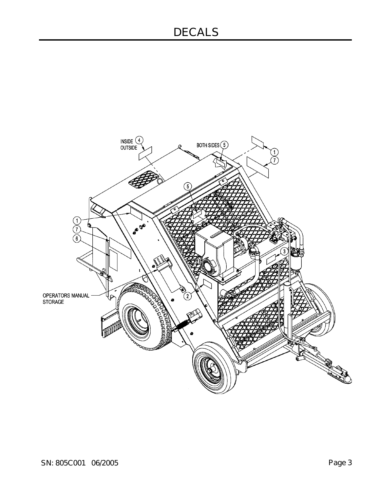### DECALS

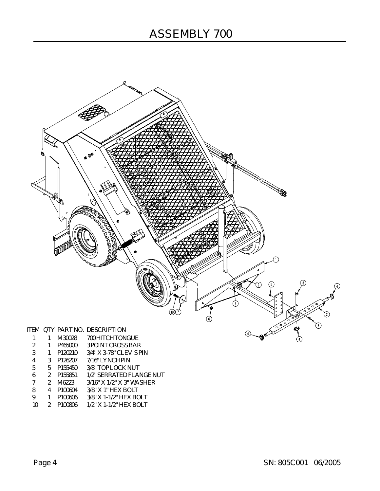

|               |               | M30028              | 700 HITCH TONGUE         |
|---------------|---------------|---------------------|--------------------------|
| $\mathcal{P}$ | 1             | P465000             | 3 POINT CROSS BAR        |
| 3             | 1             | P120210             | 3/4" X 3-78" CLEVIS PIN  |
| 4             | 3             | P <sub>126207</sub> | 7/16" LYNCH PIN          |
| 5             | 5.            | P155450             | 3/8" TOP LOCK NUT        |
| 6             | 2             | P155851             | 1/2" SERRATED FLANGE NUT |
| 7             | $\mathcal{P}$ | M6223               | 3/16" X 1/2" X 3" WASHER |
| 8             | 4             | P100604             | 3/8" X 1" HEX BOLT       |
| 9             | 1             | P100606             | 3/8" X 1-1/2" HEX BOLT   |
| 10            | 2             | P <sub>100806</sub> | 1/2" X 1-1/2" HEX BOLT   |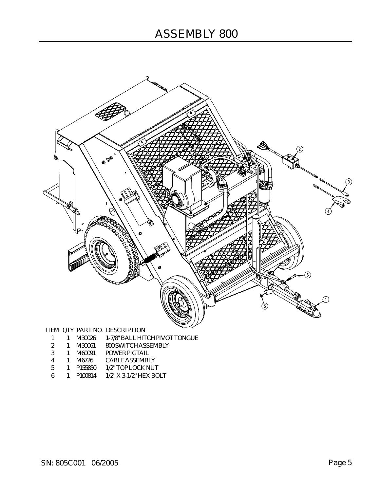

- 1 1 M30026 1-7/8"BALLHITCH PIVOTTONGUE
- 2 1 M30061 800SWITCHASSEMBLY
- 3 1 M60091 POWER PIGTAIL
- 4 1 M6726 CABLEASSEMBLY
- 5 1 P155850 1/2" TOP LOCK NUT
- 6 1 P100814 1/2" X 3-1/2" HEX BOLT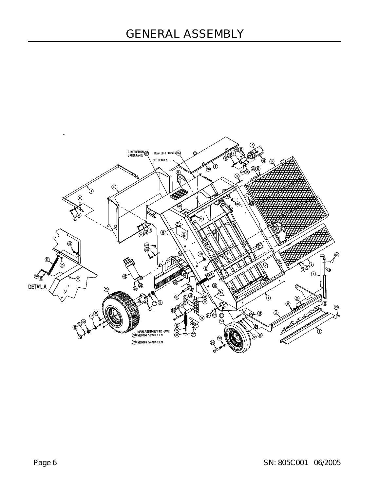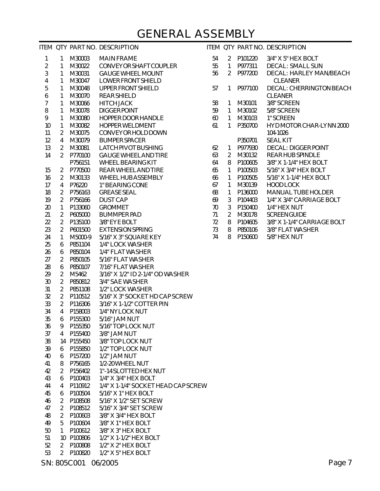#### GENERAL ASSEMBLY

|                |                 |            | ITEM QTY PART NO. DESCRIPTION       |        |                |         | ITEM QTY PART NO. DESCRIPTION |
|----------------|-----------------|------------|-------------------------------------|--------|----------------|---------|-------------------------------|
| $\mathbf{1}$   | 1               | M30003     | <b>MAIN FRAME</b>                   | 54     | $\overline{2}$ | P101220 | 3/4" X 5" HEX BOLT            |
| $\sqrt{2}$     | 1               | M30022     | CONVEYOR SHAFT COUPLER              | 55     | $\mathbf{1}$   | P977311 | DECAL: SMALL SUN              |
| $\mathfrak{Z}$ | 1               | M30031     | <b>GAUGE WHEEL MOUNT</b>            | 56     | $\overline{2}$ | P977200 | DECAL: HARLEY MAN/BEACH       |
| $\overline{4}$ | 1               | M30047     | LOWER FRONT SHIELD                  |        |                |         | <b>CLEANER</b>                |
| 5              | 1               | M30048     | UPPER FRONT SHIELD                  | 57     | 1              | P977100 | DECAL: CHERRINGTON BEACH      |
| 6              | 1               | M30070     | <b>REAR SHIELD</b>                  |        |                |         | <b>CLEANER</b>                |
| $\overline{7}$ | 1               | M30066     | <b>HITCH JACK</b>                   | 58     | 1              | M30101  | 3/8" SCREEN                   |
| $\, 8$         | 1               | M30078     | <b>DIGGERPOINT</b>                  | 59     | 1              | M30102  | 5/8" SCREEN                   |
| 9              | 1               | M30080     | HOPPER DOOR HANDLE                  | $60\,$ | $\mathbf{1}$   | M30103  | 1" SCREEN                     |
| 10             |                 | M30082     | HOPPER WELDMENT                     | 61     | 1              | P350700 | HYD MOTOR CHAR-LYNN 2000      |
|                | $\mathbf{1}$    |            | CONVEYOR HOLD DOWN                  |        |                |         |                               |
| 11             | $\overline{2}$  | M30075     |                                     |        |                |         | 104-1026                      |
| 12             | $\overline{4}$  | M30079     | <b>BUMPER SPACER</b>                |        |                | P350701 | <b>SEAL KIT</b>               |
| 13             | $\overline{2}$  | M30081     | LATCH PIVOT BUSHING                 | 62     | $\mathbf{1}$   | P977930 | <b>DECAL: DIGGER POINT</b>    |
| 14             | $\overline{2}$  | P770100    | <b>GAUGE WHEELAND TIRE</b>          | 63     | $\overline{2}$ | M30132  | REAR HUB SPINDLE              |
|                |                 | P756151    | WHEEL BEARING KIT                   | 64     | 8              | P100605 | 3/8" X 1-1/4" HEX BOLT        |
| 15             | $\overline{2}$  | P770500    | REAR WHEEL AND TIRE                 | 65     | 1              | P100503 | 5/16" X 3/4" HEX BOLT         |
| 16             | $\overline{2}$  | M30133     | WHEEL HUB ASSEMBLY                  | 66     | 1              | P100505 | 5/16" X 1-1/4" HEX BOLT       |
| 17             | $\overline{4}$  | P76220     | 1" BEARING CONE                     | 67     | 1              | M30139  | HOOD LOCK                     |
| 18             | $\overline{2}$  | P756163    | <b>GREASE SEAL</b>                  | 68     | $\mathbf{1}$   | P136000 | MANUAL TUBE HOLDER            |
| 19             | $\overline{2}$  | P756166    | <b>DUST CAP</b>                     | 69     | $\mathfrak{Z}$ | P104403 | 1/4" X 3/4" CARRIAGE BOLT     |
| 20             | 1               | P133060    | <b>GROMMET</b>                      | 70     | $\mathfrak{Z}$ | P150400 | 1/4" HEX NUT                  |
| 21             | $\overline{2}$  | P605000    | <b>BUMMPER PAD</b>                  | 71     | $\overline{2}$ | M30178  | <b>SCREEN GUIDE</b>           |
| 22             | $\overline{2}$  | P135100    | 3/8" EYE BOLT                       | 72     | 8              | P104605 | 3/8" X 1-1/4" CARRIAGE BOLT   |
| 23             | $\overline{2}$  | P601500    | <b>EXTENSION SPRING</b>             | 73     | 8              | P850106 | 3/8" FLAT WASHER              |
| 24             | 1               | M5000-9    | 5/16" X 3" SQUARE KEY               | 74     | 8              | P150600 | 5/8" HEX NUT                  |
| 25             | 6               | P851104    | 1/4" LOCK WASHER                    |        |                |         |                               |
| 26             | 6               | P850104    | 1/4" FLAT WASHER                    |        |                |         |                               |
| 27             | $\overline{2}$  | P850105    | 5/16" FLAT WASHER                   |        |                |         |                               |
| 28             | 6               | P850107    | 7/16" FLAT WASHER                   |        |                |         |                               |
| 29             | $\overline{2}$  | M5462      | 3/16" X 1/2" ID 2-1/4" OD WASHER    |        |                |         |                               |
| 30             | $\overline{2}$  | P850812    | 3/4" SAE WASHER                     |        |                |         |                               |
| 31             | $\overline{2}$  | P851108    | 1/2" LOCK WASHER                    |        |                |         |                               |
| 32             | $\overline{2}$  | P110512    | 5/16" X 3" SOCKET HD CAP SCREW      |        |                |         |                               |
| 33             | $\overline{2}$  | P116306    | 3/16" X 1-1/2" COTTER PIN           |        |                |         |                               |
| 34             | $\overline{4}$  | P158003    | 1/4" NYLOCK NUT                     |        |                |         |                               |
| 35             | 6               | P155300    | 5/16" JAM NUT                       |        |                |         |                               |
| 36             | 9               | P155350    | 5/16" TOP LOCK NUT                  |        |                |         |                               |
| 37             | 4               | P155400    | 3/8" JAM NUT                        |        |                |         |                               |
| 38             |                 | 14 P155450 | 3/8" TOP LOCK NUT                   |        |                |         |                               |
| 39             | 6               | P155850    | 1/2" TOP LOCK NUT                   |        |                |         |                               |
| 40             | 6               | P157200    | 1/2" JAM NUT                        |        |                |         |                               |
| 41             | 8               | P756165    | 1/2-20 WHEEL NUT                    |        |                |         |                               |
| 42             | 2               | P156402    | 1"-14 SLOTTED HEX NUT               |        |                |         |                               |
| 43             | 6               | P100403    | 1/4" X 3/4" HEX BOLT                |        |                |         |                               |
| 44             | 4               | P110912    | 1/4" X 1-1/4" SOCKET HEAD CAP SCREW |        |                |         |                               |
| 45             | 6               | P100504    | 5/16" X 1" HEX BOLT                 |        |                |         |                               |
| 46             | 2               | P108508    | 5/16" X 1/2" SET SCREW              |        |                |         |                               |
| 47             | $\overline{2}$  | P108512    | 5/16" X 3/4" SET SCREW              |        |                |         |                               |
| 48             | 2               | P100603    | 3/8" X 3/4" HEX BOLT                |        |                |         |                               |
| 49             | 5               | P100604    | 3/8" X 1" HEX BOLT                  |        |                |         |                               |
| 50             | 1               | P100612    | 3/8" X 3" HEX BOLT                  |        |                |         |                               |
| 51             | 10 <sup>°</sup> | P100806    | 1/2" X 1-1/2" HEX BOLT              |        |                |         |                               |
|                | 2               |            |                                     |        |                |         |                               |
| 53             | 2               | P100820    | 1/2" X 5" HEX BOLT                  |        |                |         |                               |
| 52             |                 | P100808    | 1/2" X 2" HEX BOLT                  |        |                |         |                               |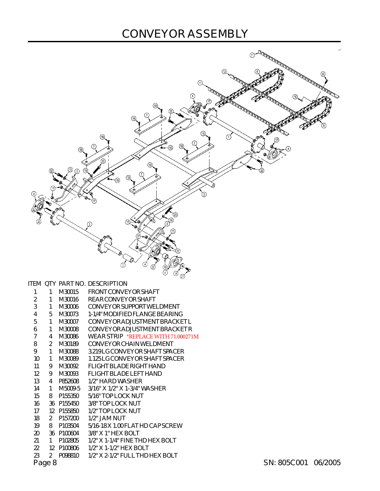#### CONVEYOR ASSEMBLY



|        | 1            | M30015              | FRONT CONVEYOR SHAFT                |                     |  |
|--------|--------------|---------------------|-------------------------------------|---------------------|--|
| 2      | 1            | M30016              | REAR CONVEYOR SHAFT                 |                     |  |
| 3      | 1            | M30006              | CONVEYOR SUPPORT WELDMENT           |                     |  |
| 4      | 5            | M30073              | 1-1/4" MODIFIED FLANGE BEARING      |                     |  |
| 5      | 1            | M30007              | CONVEYOR ADJUSTMENT BRACKET L       |                     |  |
| 6      | 1            | M30008              | <b>CONVEYORADJUSTMENT BRACKET R</b> |                     |  |
| 7      | 4            | M30086              | WEAR STRIP *REPLACE WITH 71.000271M |                     |  |
| 8      | 2            | M30189              | CONVEYOR CHAIN WELDMENT             |                     |  |
| 9      | 1            | M30088              | 3.219 LG CONVEYOR SHAFT SPACER      |                     |  |
| 10     | 1            | M30089              | 1.125 LG CONVEYOR SHAFT SPACER      |                     |  |
| 11     | 9            | M30092              | FLIGHT BLADE RIGHT HAND             |                     |  |
| 12     | 9            | M30093              | FLIGHT BLADE LEFT HAND              |                     |  |
| 13     | 4            | P852608             | 1/2" HARD WASHER                    |                     |  |
| 14     | $\mathbf{1}$ | M5009-5             | $3/16"$ X $1/2"$ X 1-3/4" WASHER    |                     |  |
| 15     | 8            | P155350             | 5/16" TOP LOCK NUT                  |                     |  |
| 16     |              | 36 P155450          | 3/8" TOP LOCK NUT                   |                     |  |
| 17     |              | 12 P155850          | 1/2" TOP LOCK NUT                   |                     |  |
| 18     | 2            | P <sub>157200</sub> | $1/2$ " JAM NUT                     |                     |  |
| 19     | 8            | P103504             | 5/16-18 X 1.00 FLAT HD CAP SCREW    |                     |  |
| 20     |              | 36 P100604          | $3/8"$ X 1" HEX BOLT                |                     |  |
| 21     | 1            | P102805             | $1/2$ " X 1-1/4" FINE THD HEX BOLT  |                     |  |
| 22     | 12           | P100806             | $1/2$ " X 1-1/2" HEX BOLT           |                     |  |
| 23     | 2            | P098810             | 1/2" X 2-1/2" FULL THD HEX BOLT     |                     |  |
| Page 8 |              |                     |                                     | SN: 805C001 06/2005 |  |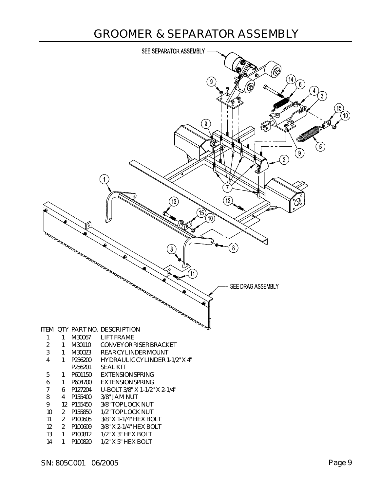#### GROOMER & SEPARATOR ASSEMBLY

| SEE SEPARATOR ASSEMBLY                                                                                                                                                                                                                                                                                                                           |                                                                                               |
|--------------------------------------------------------------------------------------------------------------------------------------------------------------------------------------------------------------------------------------------------------------------------------------------------------------------------------------------------|-----------------------------------------------------------------------------------------------|
| (Q)<br>$\boldsymbol{9}$<br>$\overline{2}$<br>1<br>13)<br>15<br>[10]<br>Гo<br>rg<br>6<br>a comparation of the comparation of the comparation of the comparation of the comparation of the comparation of the comparation of the comparation of the comparation of the comparation of the comparation of the comparation<br>8<br>SEE DRAG ASSEMBLY | (14)<br>$\left[6\right]$<br>4<br>$\mathbf{3}$<br>[15]<br>[10]<br>O<br>$\left[5\right]$<br>(9) |
| <b>Road</b><br>ITEM QTY PART NO. DESCRIPTION                                                                                                                                                                                                                                                                                                     |                                                                                               |
| M30067<br><b>LIFT FRAME</b><br>$\mathbf{1}$<br>1<br>$\sqrt{2}$<br>M30110<br>CONVEYOR RISER BRACKET<br>1                                                                                                                                                                                                                                          |                                                                                               |
| $\sqrt{3}$<br>M30023<br>REAR CYLINDER MOUNT<br>1                                                                                                                                                                                                                                                                                                 |                                                                                               |
| $\overline{4}$<br>HYDRAULIC CYLINDER 1-1/2" X 4"<br>1<br>P256200<br>P256201<br><b>SEAL KIT</b>                                                                                                                                                                                                                                                   |                                                                                               |
| <b>EXTENSION SPRING</b><br>5<br>P601150<br>1                                                                                                                                                                                                                                                                                                     |                                                                                               |
| $\boldsymbol{6}$<br>P604700<br><b>EXTENSION SPRING</b><br>1<br>$\overline{7}$<br>U-BOLT 3/8" X 1-1/2" X 2-1/4"<br>P127204<br>6                                                                                                                                                                                                                   |                                                                                               |
| $\, 8$<br>P155400<br>3/8" JAM NUT<br>$\overline{4}$                                                                                                                                                                                                                                                                                              |                                                                                               |
| 9<br>12 P155450<br>3/8" TOP LOCK NUT                                                                                                                                                                                                                                                                                                             |                                                                                               |
| 10<br>$\overline{2}$<br>P155850<br>1/2" TOP LOCK NUT<br>$\overline{2}$<br>3/8" X 1-1/4" HEX BOLT<br>11<br>P100605                                                                                                                                                                                                                                |                                                                                               |
|                                                                                                                                                                                                                                                                                                                                                  |                                                                                               |
| 12<br>$\overline{2}$<br>P100609<br>3/8" X 2-1/4" HEX BOLT<br>13<br>P100812<br>1/2" X 3" HEX BOLT                                                                                                                                                                                                                                                 |                                                                                               |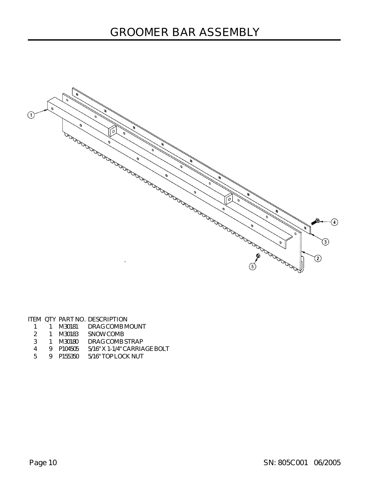

ITEM QTY PART NO. DESCRIPTION 1 1 M30181 DRAGCOMBMOUNT

- 2 1 M30183 SNOWCOMB
- 3 1 M30180 DRAGCOMB STRAP
- 
- 4 9 P104505 5/16" X 1-1/4" CARRIAGE BOLT
- 5 9 P155350 5/16" TOP LOCK NUT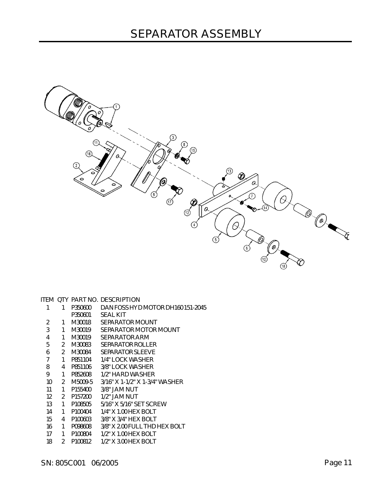| 'ane |  |  |
|------|--|--|
|      |  |  |

| 1  | 1              | P350600             | DAN FOSS HYD MOTOR DH16015     |
|----|----------------|---------------------|--------------------------------|
|    |                | P350601             | <b>SEAL KIT</b>                |
| 2  | 1              | M30018              | SEPARATOR MOUNT                |
| 3  | 1              | M30019              | SEPARATOR MOTOR MOUNT          |
| 4  | 1              | M30019              | SEPARATOR ARM                  |
| 5  | 2              | M30083              | SEPARATOR ROLLER               |
| 6  | 2              | M30084              | SEPARATOR SLEEVE               |
| 7  | 1              | P851104             | 1/4" LOCK WASHER               |
| 8  | 4              | P851106             | 3/8" LOCK WASHER               |
| 9  | 1              | P852608             | 1/2" HARD WASHER               |
| 10 | $\mathfrak{D}$ | M5009-5             | 3/16" X 1-1/2" X 1-3/4" WASHER |
| 11 | 1              | P155400             | 3/8" JAM NUT                   |
| 12 | $\mathfrak{D}$ | P157200             | 1/2" JAM NUT                   |
| 13 | 1              | P108505             | 5/16" X 5/16" SET SCREW        |
| 14 | 1              | P100404             | 1/4" X 1.00 HEX BOLT           |
| 15 | 4              | P <sub>100603</sub> | $3/8"$ X $3/4"$ HEX BOLT       |
| 16 | 1              | P098608             | 3/8" X 2.00 FULL THD HEX BOLT  |
| 17 | 1              | P100804             | 1/2" X 1.00 HEX BOLT           |
| 18 | 2              | P100812             | 1/2" X 3.00 HEX BOLT           |

|  |           | TERI VII IINTINV. DEJVINI IIVIN   |
|--|-----------|-----------------------------------|
|  | 1 P350600 | DAN FOSS HYD MOTOR DH160 151-2045 |

ITEM OTY PART NO. DESCRIPTION

| о<br>ο                                                                                                          |                                                                                                                                |
|-----------------------------------------------------------------------------------------------------------------|--------------------------------------------------------------------------------------------------------------------------------|
| จิ<br>(11<br>О<br>α<br>$\circledR$<br>Q<br>Р<br>$^\copyright$<br>⇖<br>$\circ$<br>$\circ$<br>(0)<br>е<br>$\circ$ | $^\circledR$<br>$\circled{5}$<br>(13)<br>$\circledR$<br>$\alpha$<br>¢                                                          |
| C<br>$\circled{\scriptstyle 1}$                                                                                 | 7<br>a<br>S<br>∞<br>Q<br>⊚<br>$^{\circledR}$<br>Ø<br>L.<br>4<br>∁<br>$\widehat{\mathfrak{C}}$<br>/©<br>$\overline{\mathbf{5}}$ |
|                                                                                                                 | Θ.<br>$6 \overline{6}$<br>$^{\circledR}$<br>18                                                                                 |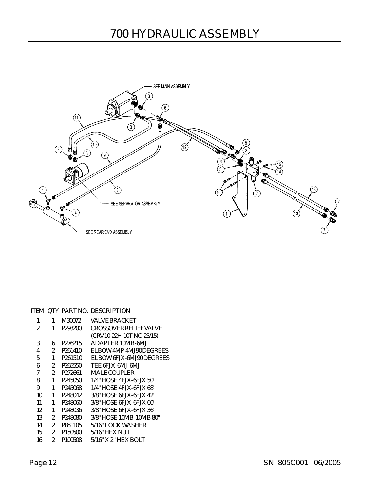

#### ITEM QTY PART NO. DESCRIPTION

| 1  | 1              | M30072              | VAI VF BRACKFT                |
|----|----------------|---------------------|-------------------------------|
| 2  | 1              | P293200             | <b>CROSSOVER RELIEF VALVE</b> |
|    |                |                     | (CRV10-22H-10T-NC-25/15)      |
| 3  | 6              | P276215             | ADAPTER 10MB-6MJ              |
| 4  | 2              | P <sub>261410</sub> | ELBOW 4MP-4MJ90 DEGREES       |
| 5  | 1              | P <sub>261510</sub> | FI BOW 6EJX-6MJ90 DEGREES     |
| 6  | 2              | P <sub>265550</sub> | TEE 6FJX-6MJ-6MJ              |
| 7  | $\mathfrak{D}$ | P272661             | MAI FCOUPLER                  |
| 8  | 1              | P245050             | 1/4" HOSE 4FJX-6FJX 50"       |
| 9  | 1              | P245068             | 1/4" HOSE 4FJX-6FJX 68"       |
| 10 | 1              | P248042             | 3/8" HOSE 6FJX-6FJX 42"       |
| 11 | 1              | P248060             | 3/8" HOSE 6FJX-6FJX 60"       |
| 12 | 1              | P248036             | 3/8" HOSE 6FJX-6FJX 36"       |
| 13 | 2              | P248080             | 3/8" HOSE 10MB-10MB 80"       |
| 14 | $\mathfrak{D}$ | P851105             | 5/16" LOCK WASHER             |
| 15 | 2              | P <sub>150500</sub> | 5/16" HEX NUT                 |
| 16 | $\mathfrak{p}$ | P100508             | 5/16" X 2" HF X BOI T         |
|    |                |                     |                               |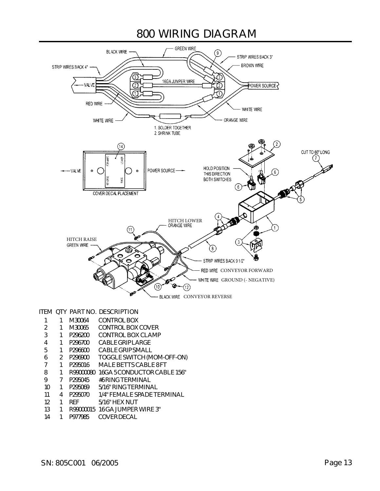#### 800 WIRING DIAGRAM



#### ITEM QTY PART NO. DESCRIPTION

|    |    |               | M30064     | CONTROL BOX                    |
|----|----|---------------|------------|--------------------------------|
| 2  |    | 1             | M30065     | CONTROL BOX COVER              |
| 3  |    | 1             | P296200    | CONTROL BOX CLAMP              |
| 4  |    | 1             | P296700    | CABLE GRIPLARGE                |
| 5  |    | 1             | P296600    | CABLE GRIP SMALL               |
| 6  |    | $\mathcal{P}$ | P296900    | TOGGLE SWITCH (MOM-OFF-ON)     |
|    |    | 1             | P295016    | MAI F BETTS CABLE 8 FT         |
| 8  |    | 1             | R99000080  | 16GA 5 CONDUCTOR CABLE 156"    |
| 9  |    |               | P295045    | #6 RING TERMINAL               |
|    | 10 | 1             | P295069    | 5/16" RING TERMINAL            |
| 11 |    | 4             | P295070    | 1/4" FFMALE SPADE TERMINAL     |
|    | 12 | 1             | <b>RFF</b> | $5/16"$ HFX NUT                |
|    | 13 |               |            | R99000015 16 GA JUMPER WIRE 3" |
|    |    |               |            |                                |

14 1 P977985 COVERDECAL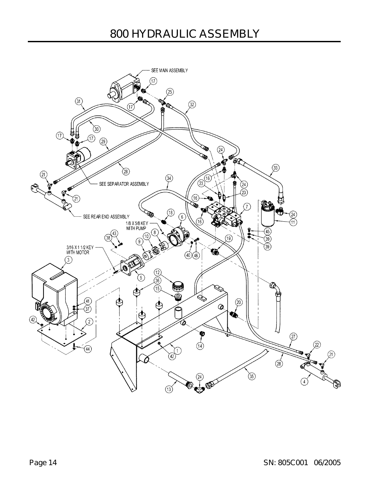